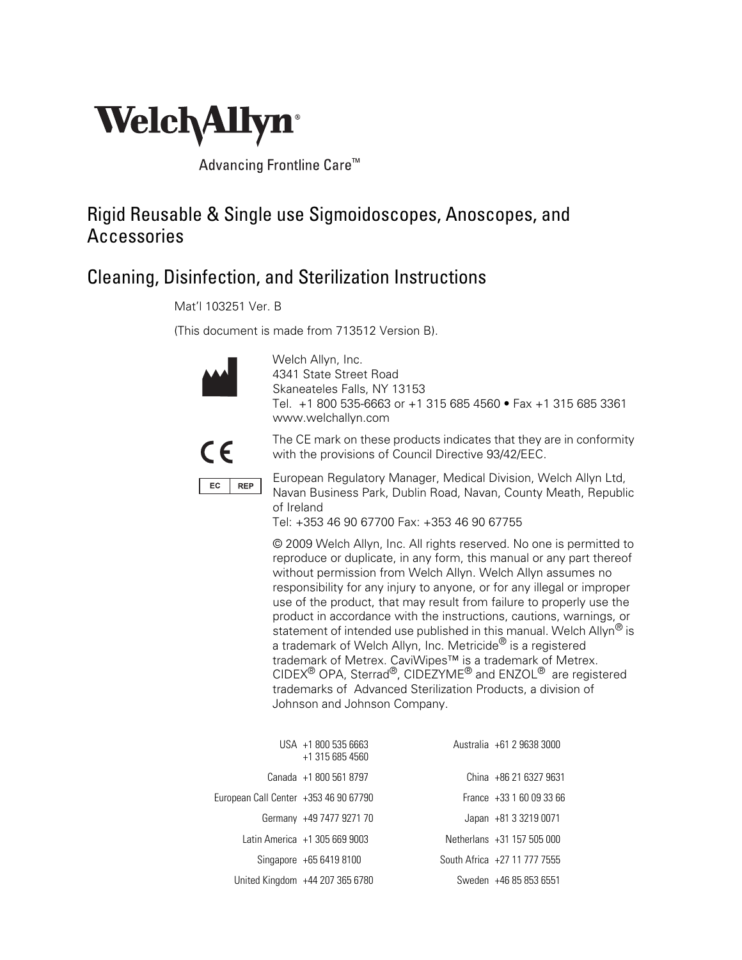

Advancing Frontline Care<sup>™</sup>

### Rigid Reusable & Single use Sigmoidoscopes, Anoscopes, and Accessories

### Cleaning, Disinfection, and Sterilization Instructions

Mat'l 103251 Ver. B

(This document is made from 713512 Version B).



Welch Allyn, Inc. 4341 State Street Road Skaneateles Falls, NY 13153 Tel. +1 800 535-6663 or +1 315 685 4560 • Fax +1 315 685 3361 www.welchallyn.com



The CE mark on these products indicates that they are in conformity with the provisions of Council Directive 93/42/EEC.



European Regulatory Manager, Medical Division, Welch Allyn Ltd, Navan Business Park, Dublin Road, Navan, County Meath, Republic of Ireland

Tel: +353 46 90 67700 Fax: +353 46 90 67755

© 2009 Welch Allyn, Inc. All rights reserved. No one is permitted to reproduce or duplicate, in any form, this manual or any part thereof without permission from Welch Allyn. Welch Allyn assumes no responsibility for any injury to anyone, or for any illegal or improper use of the product, that may result from failure to properly use the product in accordance with the instructions, cautions, warnings, or statement of intended use published in this manual. Welch Allyn<sup>®</sup> is a trademark of Welch Allyn, Inc. Metricide<sup>®</sup> is a registered trademark of Metrex. CaviWipes™ is a trademark of Metrex. CIDEX® OPA, Sterrad®, CIDEZYME® and ENZOL® are registered trademarks of Advanced Sterilization Products, a division of Johnson and Johnson Company.

|                                       | USA +1 800 535 6663<br>+1 315 685 4560 | Australia +61 2 9638 3000    |
|---------------------------------------|----------------------------------------|------------------------------|
|                                       | Canada +1 800 561 8797                 | China +86 21 6327 9631       |
| European Call Center +353 46 90 67790 |                                        | France +33 1 60 09 33 66     |
|                                       | Germany +49 7477 9271 70               | Japan +81 3 3219 0071        |
|                                       | Latin America +1 305 669 9003          | Netherlans +31 157 505 000   |
|                                       | Singapore +65 6419 8100                | South Africa +27 11 777 7555 |
|                                       | United Kingdom +44 207 365 6780        | Sweden +46 85 853 6551       |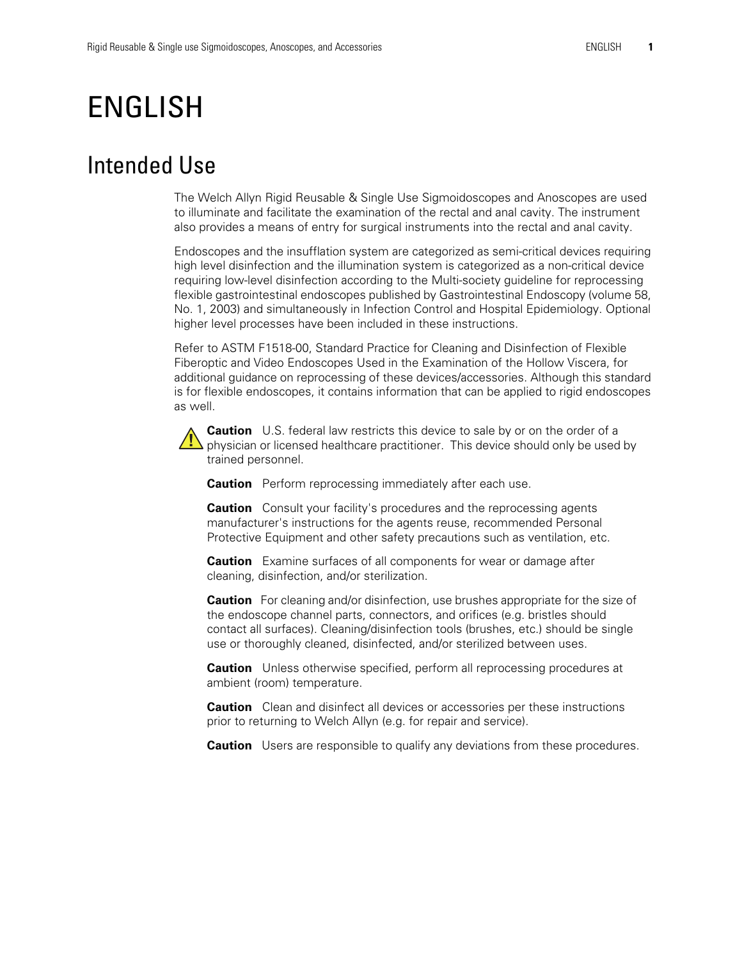# ENGLISH

### Intended Use

The Welch Allyn Rigid Reusable & Single Use Sigmoidoscopes and Anoscopes are used to illuminate and facilitate the examination of the rectal and anal cavity. The instrument also provides a means of entry for surgical instruments into the rectal and anal cavity.

Endoscopes and the insufflation system are categorized as semi-critical devices requiring high level disinfection and the illumination system is categorized as a non-critical device requiring low-level disinfection according to the Multi-society guideline for reprocessing flexible gastrointestinal endoscopes published by Gastrointestinal Endoscopy (volume 58, No. 1, 2003) and simultaneously in Infection Control and Hospital Epidemiology. Optional higher level processes have been included in these instructions.

Refer to ASTM F1518-00, Standard Practice for Cleaning and Disinfection of Flexible Fiberoptic and Video Endoscopes Used in the Examination of the Hollow Viscera, for additional guidance on reprocessing of these devices/accessories. Although this standard is for flexible endoscopes, it contains information that can be applied to rigid endoscopes as well.

**Caution** U.S. federal law restricts this device to sale by or on the order of a physician or licensed healthcare practitioner. This device should only be used by trained personnel.

**Caution** Perform reprocessing immediately after each use.

**Caution** Consult your facility's procedures and the reprocessing agents manufacturer's instructions for the agents reuse, recommended Personal Protective Equipment and other safety precautions such as ventilation, etc.

**Caution** Examine surfaces of all components for wear or damage after cleaning, disinfection, and/or sterilization.

**Caution** For cleaning and/or disinfection, use brushes appropriate for the size of the endoscope channel parts, connectors, and orifices (e.g. bristles should contact all surfaces). Cleaning/disinfection tools (brushes, etc.) should be single use or thoroughly cleaned, disinfected, and/or sterilized between uses.

**Caution** Unless otherwise specified, perform all reprocessing procedures at ambient (room) temperature.

**Caution** Clean and disinfect all devices or accessories per these instructions prior to returning to Welch Allyn (e.g. for repair and service).

**Caution** Users are responsible to qualify any deviations from these procedures.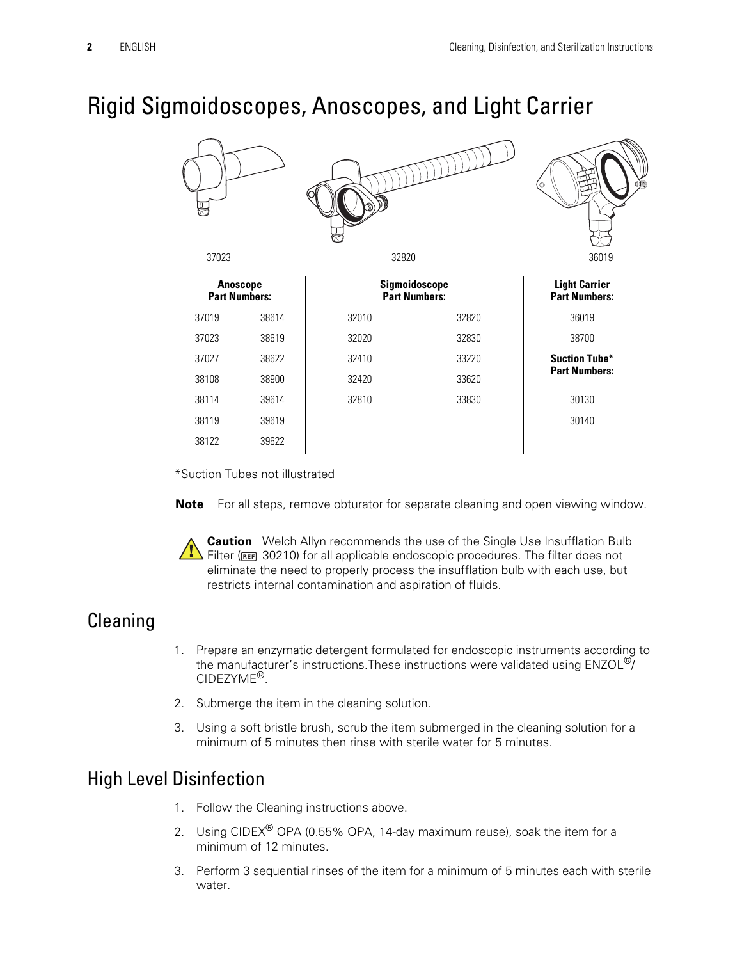## Rigid Sigmoidoscopes, Anoscopes, and Light Carrier

|                                         |       |                                       |       | od,<br>O                                     |
|-----------------------------------------|-------|---------------------------------------|-------|----------------------------------------------|
| 37023                                   |       | 32820                                 |       | 36019                                        |
| <b>Anoscope</b><br><b>Part Numbers:</b> |       | Sigmoidoscope<br><b>Part Numbers:</b> |       | <b>Light Carrier</b><br><b>Part Numbers:</b> |
| 37019                                   | 38614 | 32010                                 | 32820 | 36019                                        |
| 37023                                   | 38619 | 32020                                 | 32830 | 38700                                        |
| 37027                                   | 38622 | 32410                                 | 33220 | <b>Suction Tube*</b>                         |
| 38108                                   | 38900 | 32420                                 | 33620 | <b>Part Numbers:</b>                         |
| 38114                                   | 39614 | 32810                                 | 33830 | 30130                                        |
| 38119                                   | 39619 |                                       |       | 30140                                        |
| 38122                                   | 39622 |                                       |       |                                              |

\*Suction Tubes not illustrated

**Note** For all steps, remove obturator for separate cleaning and open viewing window.

**Caution** Welch Allyn recommends the use of the Single Use Insufflation Bulb **Filter (REED 30210)** for all applicable endoscopic procedures. The filter does not eliminate the need to properly process the insufflation bulb with each use, but restricts internal contamination and aspiration of fluids.

### **Cleaning**

- 1. Prepare an enzymatic detergent formulated for endoscopic instruments according to the manufacturer's instructions. These instructions were validated using ENZOL<sup>®</sup>/ CIDEZYME®.
- 2. Submerge the item in the cleaning solution.
- 3. Using a soft bristle brush, scrub the item submerged in the cleaning solution for a minimum of 5 minutes then rinse with sterile water for 5 minutes.

### High Level Disinfection

- 1. Follow the Cleaning instructions above.
- 2. Using CIDEX<sup>®</sup> OPA (0.55% OPA, 14-day maximum reuse), soak the item for a minimum of 12 minutes.
- 3. Perform 3 sequential rinses of the item for a minimum of 5 minutes each with sterile water.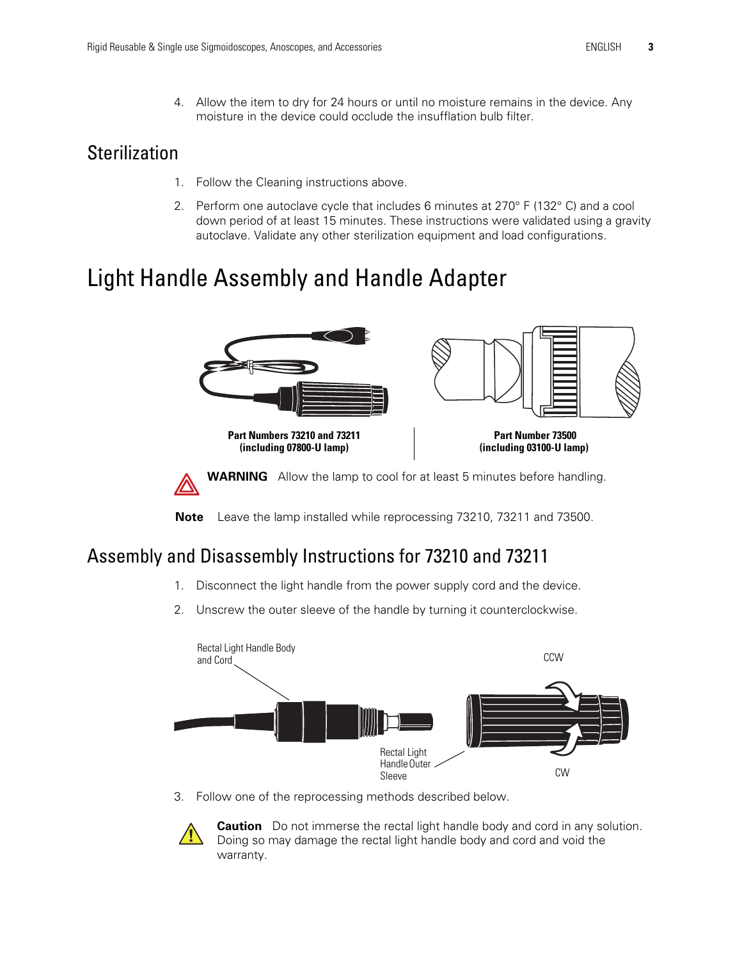4. Allow the item to dry for 24 hours or until no moisture remains in the device. Any moisture in the device could occlude the insufflation bulb filter.

#### **Sterilization**

- 1. Follow the Cleaning instructions above.
- 2. Perform one autoclave cycle that includes 6 minutes at 270° F (132° C) and a cool down period of at least 15 minutes. These instructions were validated using a gravity autoclave. Validate any other sterilization equipment and load configurations.

# Light Handle Assembly and Handle Adapter



**Note** Leave the lamp installed while reprocessing 73210, 73211 and 73500.

### Assembly and Disassembly Instructions for 73210 and 73211

- 1. Disconnect the light handle from the power supply cord and the device.
- 2. Unscrew the outer sleeve of the handle by turning it counterclockwise.



3. Follow one of the reprocessing methods described below.



**Caution** Do not immerse the rectal light handle body and cord in any solution. Doing so may damage the rectal light handle body and cord and void the warranty.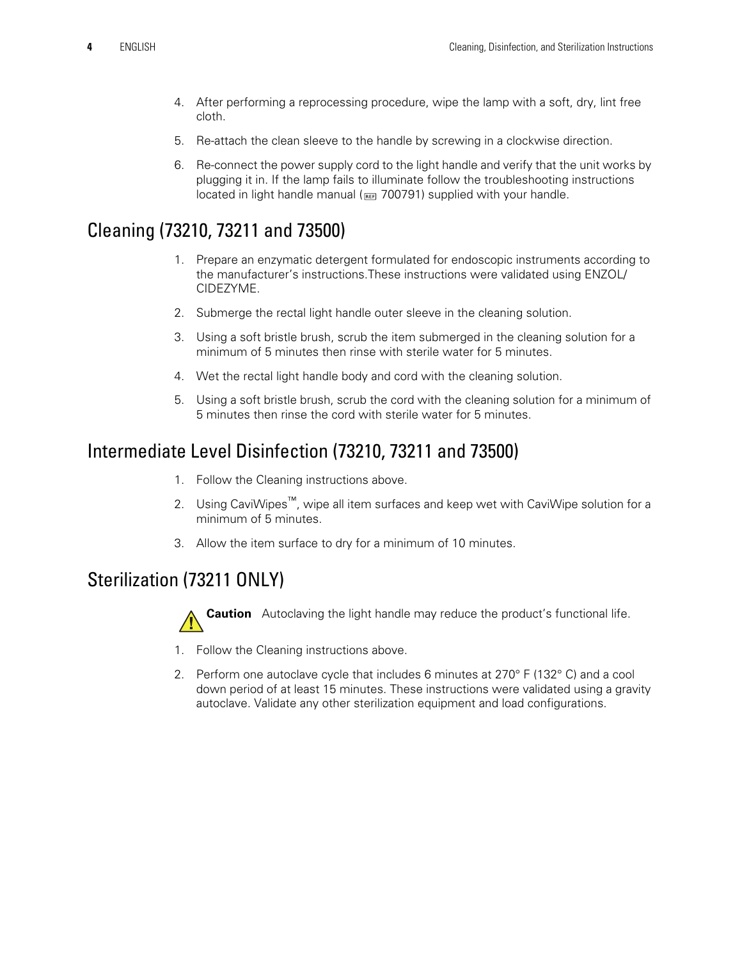- 4. After performing a reprocessing procedure, wipe the lamp with a soft, dry, lint free cloth.
- 5. Re-attach the clean sleeve to the handle by screwing in a clockwise direction.
- 6. Re-connect the power supply cord to the light handle and verify that the unit works by plugging it in. If the lamp fails to illuminate follow the troubleshooting instructions located in light handle manual (**REE** 700791) supplied with your handle.

### Cleaning (73210, 73211 and 73500)

- 1. Prepare an enzymatic detergent formulated for endoscopic instruments according to the manufacturer's instructions.These instructions were validated using ENZOL/ CIDEZYME.
- 2. Submerge the rectal light handle outer sleeve in the cleaning solution.
- 3. Using a soft bristle brush, scrub the item submerged in the cleaning solution for a minimum of 5 minutes then rinse with sterile water for 5 minutes.
- 4. Wet the rectal light handle body and cord with the cleaning solution.
- 5. Using a soft bristle brush, scrub the cord with the cleaning solution for a minimum of 5 minutes then rinse the cord with sterile water for 5 minutes.

#### Intermediate Level Disinfection (73210, 73211 and 73500)

- 1. Follow the Cleaning instructions above.
- 2. Using CaviWipes<sup>™</sup>, wipe all item surfaces and keep wet with CaviWipe solution for a minimum of 5 minutes.
- 3. Allow the item surface to dry for a minimum of 10 minutes.

### Sterilization (73211 ONLY)



**Caution** Autoclaving the light handle may reduce the product's functional life.

- 1. Follow the Cleaning instructions above.
- 2. Perform one autoclave cycle that includes 6 minutes at 270° F (132° C) and a cool down period of at least 15 minutes. These instructions were validated using a gravity autoclave. Validate any other sterilization equipment and load configurations.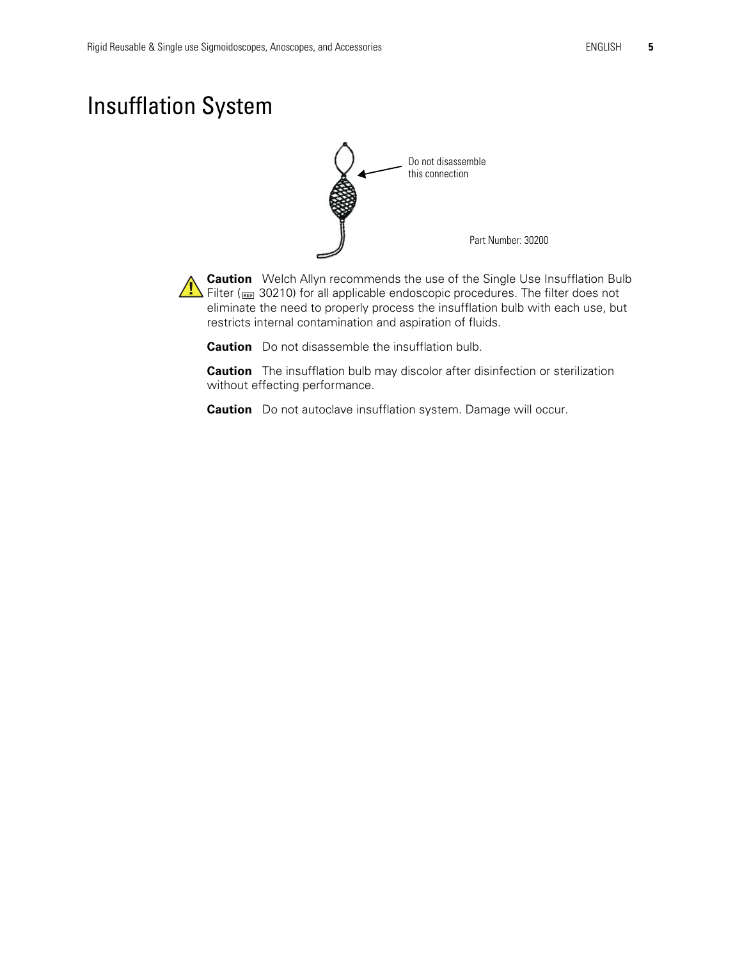# Insufflation System



**Caution** Welch Allyn recommends the use of the Single Use Insufflation Bulb Filter ( $\frac{1}{\sqrt{1}}$  Filter ( $\frac{1}{\sqrt{10}}$  30210) for all applicable endoscopic procedures. The filter does not eliminate the need to properly process the insufflation bulb with each use, but restricts internal contamination and aspiration of fluids.

**Caution** Do not disassemble the insufflation bulb.

**Caution** The insufflation bulb may discolor after disinfection or sterilization without effecting performance.

**Caution** Do not autoclave insufflation system. Damage will occur.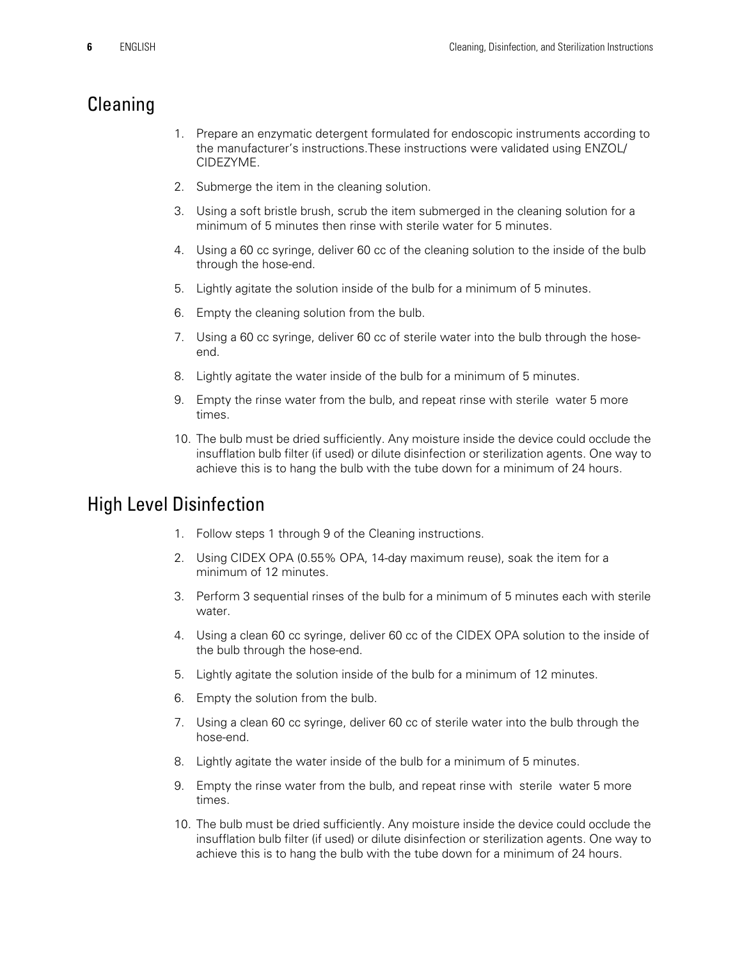### Cleaning

- 1. Prepare an enzymatic detergent formulated for endoscopic instruments according to the manufacturer's instructions.These instructions were validated using ENZOL/ CIDEZYME.
- 2. Submerge the item in the cleaning solution.
- 3. Using a soft bristle brush, scrub the item submerged in the cleaning solution for a minimum of 5 minutes then rinse with sterile water for 5 minutes.
- 4. Using a 60 cc syringe, deliver 60 cc of the cleaning solution to the inside of the bulb through the hose-end.
- 5. Lightly agitate the solution inside of the bulb for a minimum of 5 minutes.
- 6. Empty the cleaning solution from the bulb.
- 7. Using a 60 cc syringe, deliver 60 cc of sterile water into the bulb through the hoseend.
- 8. Lightly agitate the water inside of the bulb for a minimum of 5 minutes.
- 9. Empty the rinse water from the bulb, and repeat rinse with sterile water 5 more times.
- 10. The bulb must be dried sufficiently. Any moisture inside the device could occlude the insufflation bulb filter (if used) or dilute disinfection or sterilization agents. One way to achieve this is to hang the bulb with the tube down for a minimum of 24 hours.

#### High Level Disinfection

- 1. Follow steps 1 through 9 of the Cleaning instructions.
- 2. Using CIDEX OPA (0.55% OPA, 14-day maximum reuse), soak the item for a minimum of 12 minutes.
- 3. Perform 3 sequential rinses of the bulb for a minimum of 5 minutes each with sterile water.
- 4. Using a clean 60 cc syringe, deliver 60 cc of the CIDEX OPA solution to the inside of the bulb through the hose-end.
- 5. Lightly agitate the solution inside of the bulb for a minimum of 12 minutes.
- 6. Empty the solution from the bulb.
- 7. Using a clean 60 cc syringe, deliver 60 cc of sterile water into the bulb through the hose-end.
- 8. Lightly agitate the water inside of the bulb for a minimum of 5 minutes.
- 9. Empty the rinse water from the bulb, and repeat rinse with sterile water 5 more times.
- 10. The bulb must be dried sufficiently. Any moisture inside the device could occlude the insufflation bulb filter (if used) or dilute disinfection or sterilization agents. One way to achieve this is to hang the bulb with the tube down for a minimum of 24 hours.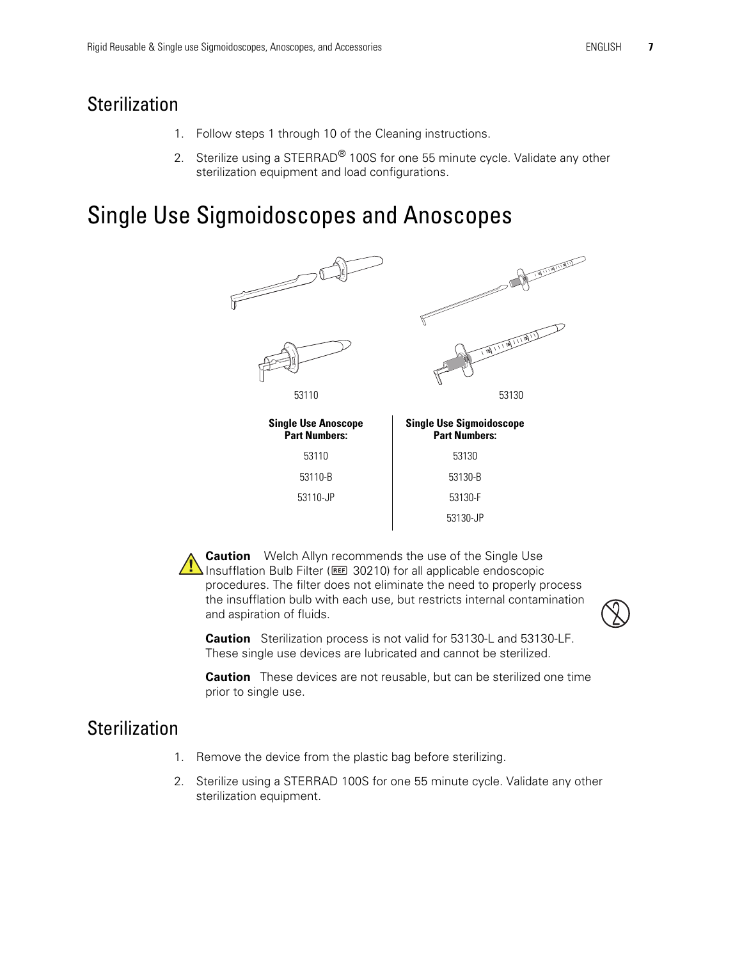### **Sterilization**

- 1. Follow steps 1 through 10 of the Cleaning instructions.
- 2. Sterilize using a STERRAD<sup>®</sup> 100S for one 55 minute cycle. Validate any other sterilization equipment and load configurations.

# Single Use Sigmoidoscopes and Anoscopes



**Caution** Welch Allyn recommends the use of the Single Use **IN** Insufflation Bulb Filter (REE 30210) for all applicable endoscopic procedures. The filter does not eliminate the need to properly process the insufflation bulb with each use, but restricts internal contamination and aspiration of fluids.



**Caution** Sterilization process is not valid for 53130-L and 53130-LF. These single use devices are lubricated and cannot be sterilized.

**Caution** These devices are not reusable, but can be sterilized one time prior to single use.

### **Sterilization**

- 1. Remove the device from the plastic bag before sterilizing.
- 2. Sterilize using a STERRAD 100S for one 55 minute cycle. Validate any other sterilization equipment.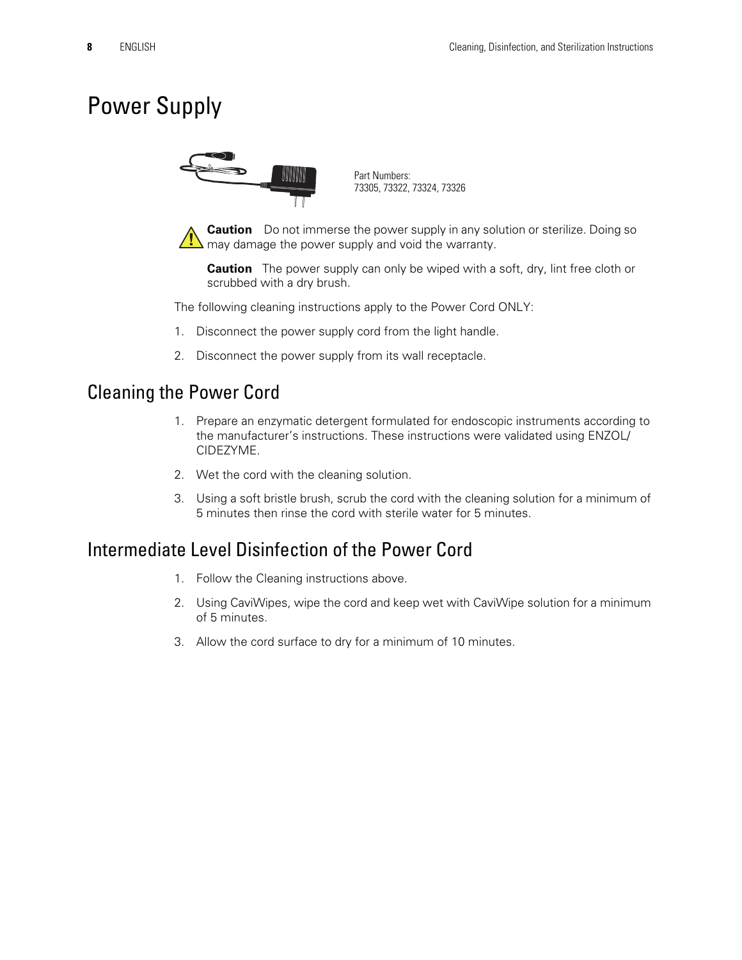# Power Supply



Part Numbers: 73305, 73322, 73324, 73326

**Caution** Do not immerse the power supply in any solution or sterilize. Doing so  $\mathbf{I}$  may damage the power supply and void the warranty.

**Caution** The power supply can only be wiped with a soft, dry, lint free cloth or scrubbed with a dry brush.

The following cleaning instructions apply to the Power Cord ONLY:

- 1. Disconnect the power supply cord from the light handle.
- 2. Disconnect the power supply from its wall receptacle.

#### Cleaning the Power Cord

- 1. Prepare an enzymatic detergent formulated for endoscopic instruments according to the manufacturer's instructions. These instructions were validated using ENZOL/ CIDEZYME.
- 2. Wet the cord with the cleaning solution.
- 3. Using a soft bristle brush, scrub the cord with the cleaning solution for a minimum of 5 minutes then rinse the cord with sterile water for 5 minutes.

#### Intermediate Level Disinfection of the Power Cord

- 1. Follow the Cleaning instructions above.
- 2. Using CaviWipes, wipe the cord and keep wet with CaviWipe solution for a minimum of 5 minutes.
- 3. Allow the cord surface to dry for a minimum of 10 minutes.